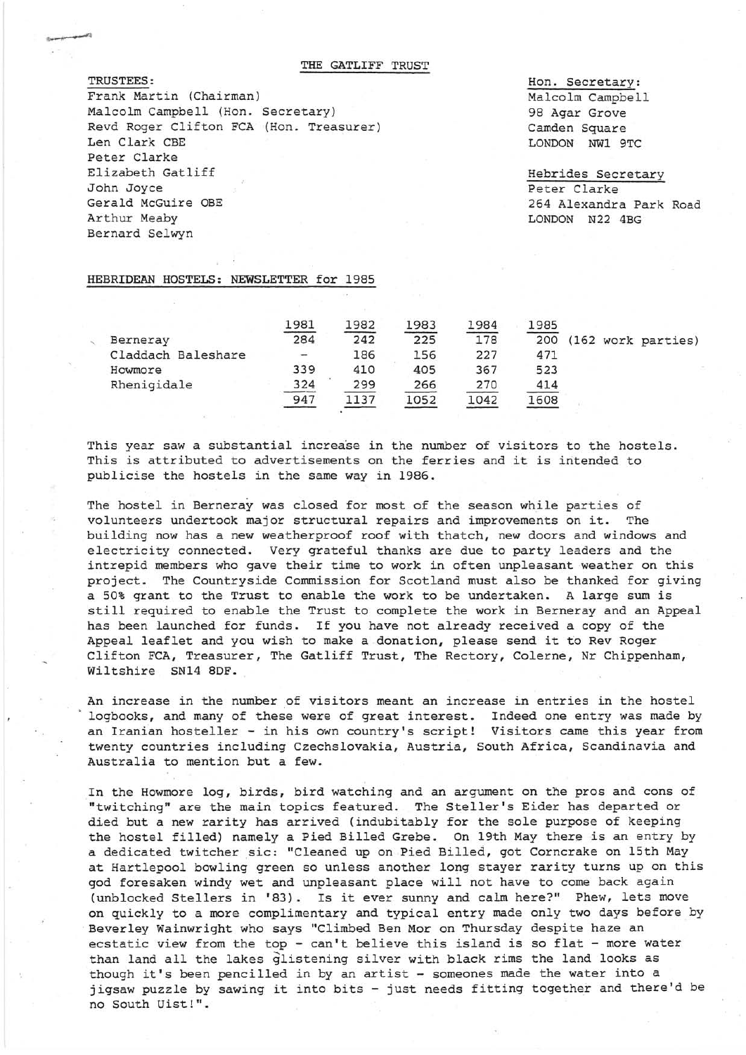THE GATLIFF TRUST

TRUSTEES: Frank Martin (Chairman) Malcolm Campbell (Hon. Secretary) Revd Roger Clifton FCA(Hon. Treasurer) Len Clark CBE Peter Clarke Elizabeth Gatliff John Joyce Gerald McGuire OBE Arthur Meaby Bernard Selwyn

Hon. Secretary: Malcolm Campbell 98 Agar Grove Camden Square LONDON NWl 9TC

Hebrides Secretary Peter Clarke 264 Alexandra Park Road LONDON N22 4BG

## HEBRIDEAN HOSTELS: NEWSLETTER for 1985

|                    | 1981 | 1982 | 1983 | 1984 | 1985 |  |                    |
|--------------------|------|------|------|------|------|--|--------------------|
| Berneray           | 284  | 242  | 225  | 178  | 200  |  | (162 work parties) |
| Claddach Baleshare | ۰    | 186  | 156  | 227  | 471  |  |                    |
| Howmore            | 339  | 410  | 405  | 367  | 523  |  |                    |
| Rhenigidale        | 324  | 299  | 266  | 270  | 414  |  |                    |
|                    | 947  | 1137 | 1052 | 1042 | 1608 |  |                    |

This year saw a substantial increase in the number of visitors to the hostels. This is attributed to advertisements on the ferries and it is intended to publicise the hostels in the same way in 1986.

The hostel in Berneray was closed for most of the season while parties of volunteers undertook major structural repairs and improvements on it. The building now has a new weatherproof roof with thatch, new doors and windows and electricity connected. Very grateful thanks are due to party leaders and the intrepid members who gave their time to work in often unpleasant weather on this project. The Countryside Commission for Scotland must also be thanked for giving a 50% grant to the Trust to enable the work to be undertaken. A large sum is still required to enable the Trust to complete the work in Berneray and an Appeal has been launched for funds. If you have not already received a copy of the Appeal leaflet and you wish to make a donation, please send it to Rev Roger Clifton FCA, Treasurer, The Gatliff Trust, The Rectory, Colerne, Nr Chippenham, Wiltshire SN14 SDF.

An increase in the number of visitors meant an increase in entries in the hostel logbooks, and many of these were of great interest. Indeed one entry was made by an Iranian hosteller - in his own country's script! Visitors came this year from twenty countries including Czechslovakia, Austria, South Africa, Scandinavia and Australia to mention but a few.

In the Howmore log, birds, bird watching and an argument on the pros and cons of "twitching" are the main topics featured. The Steller's Eider has departed or died but a new rarity has arrived (indubitably for the sole purpose of keeping the hostel filled) namely a Pied Billed Grebe. On 19th May there is an entry by a dedicated twitcher sic: "Cleaned up on Pied Billed, got Corncrake on 15th May at Hartlepool bowling green so unless another long stayer rarity turns up on this god foresaken windy wet and unpleasant place will not have to come back again (unblocked Stellers in 'S3). Is it ever sunny and calm here?" Phew, lets move on quickly to a more complimentary and typical entry made only two days before by Beverley Wainwright who says "Climbed Ben Mor on Thursday despite haze an ecstatic view from the top - can't believe this island is so flat - more water than land all the lakes glistening silver with black rims the land looks as though it's been pencilled in by an artist - someones made the water into a jigsaw puzzle by sawing it into bits - just needs fitting together and there'd be no South Uist!".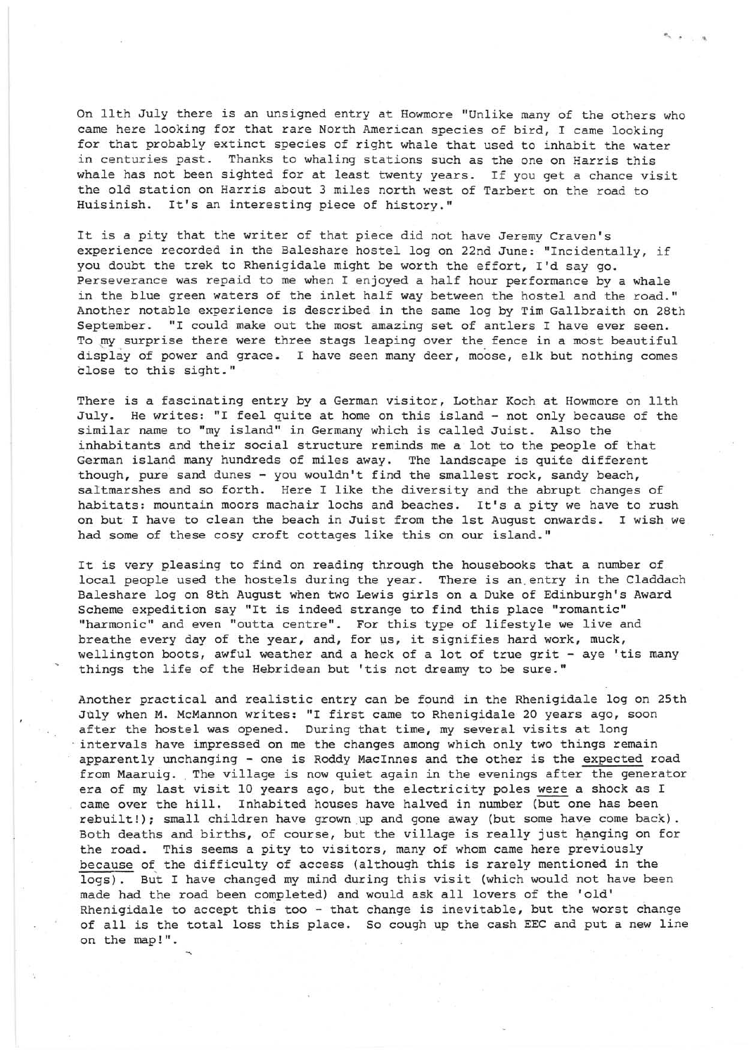On 11th July there is an unsigned entry at Howmore "Unlike many of the others who came here looking for that rare North American species of bird, I came looking for that probably extinct species of right whale that used to inhabit the water in centuries past. Thanks to whaling stations such as the one on Harris this whale has not been sighted for at least twenty years. If you get a chance visit the old station on Harris about 3 miles north west of Tarbert on the road to Huisinish. It's an interesting piece of history."

 $\sim$   $\sim$   $\sim$ 

It is a pity that the writer of that piece did not have Jeremy Craven's experience recorded in the Baleshare hostel log on 22nd June: "Incidentally, if you doubt the trek to Rhenigidale might be worth the effort, I'd say go. Perseverance was repaid to me when I enjoyed a half hour performance by a whale in the blue green waters of the inlet half way between the hostel and the road." Another notable experience is described in the same log by Tim Gallbraith on 28th September. "I could make out the most amazing set of antlers I have ever seen. To my surprise there were three stags leaping over the fence in a most beautiful display of power and grace. I have seen many deer, moose, elk but nothing comes close to this sight."

There is a fascinating entry by a German visitor, Lothar Koch at Howmore on 11th July. He writes: "I feel quite at home on this island - not only because of the similar name to "my island" in Germany which is called Juist. Also the inhabitants and their social structure reminds me a lot to the people of that German island many hundreds of miles away. The landscape is quite different though, pure sand dunes - you wouldn't find the smallest rock, sandy beach, saltmarshes and so forth. Here I like the diversity and the abrupt changes of habitats: mountain moors machair lochs and beaches. It's a pity we have to rush on but I have to clean the beach in Juist from the 1st August onwards. I wish we had some of these cosy croft cottages like this on our island."

It is very pleasing to find on reading through the housebooks that a number of local people used the hostels during the year. There is an entry in the Claddach Baleshare log on 8th August when two Lewis girls on a Duke of Edinburgh's Award Scheme expedition say "It is indeed strange to find this place "romantic" "harmonic" and even "outta centre". For this type of lifestyle we live and breathe every day of the year, and, for us, it signifies hard work, muck, wellington boots, awful weather and a heck of a lot of true grit - aye 'tis many things the life of the Hebridean but 'tis not dreamy to be sure."

Another practical and realistic entry can be found in the Rhenigidale log on 25th July when M. McMannon writes: "I first came to Rhenigidale 20 years ago, soon after the hostel was opened. During that time, my several visits at long . intervals have impressed on me the changes among which only two things remain apparently unchanging - one is Roddy MacInnes and the other is the expected road from Maaruig. The village is now quiet again in the evenings after the generator era of my last visit 10 years ago, but the electricity poles were a shock as I came over the hill. Inhabited houses have halved in number (but one has been rebuilt!); small children have grown up and gone away (but some have come back). Both deaths and births, of course, but the village is really just hanging on for the road. This seems a pity to visitors, many of whom came here previously because of the difficulty of access (although this is rarely mentioned in the logs). But I have changed my mind during this visit (which would not have been made had the road been completed) and would ask all lovers of the 'old' Rhenigidale to accept this too - that change is inevitable, but the worst change of all is the total loss this place. So cough up the cash EEC and put a new line on the map!".